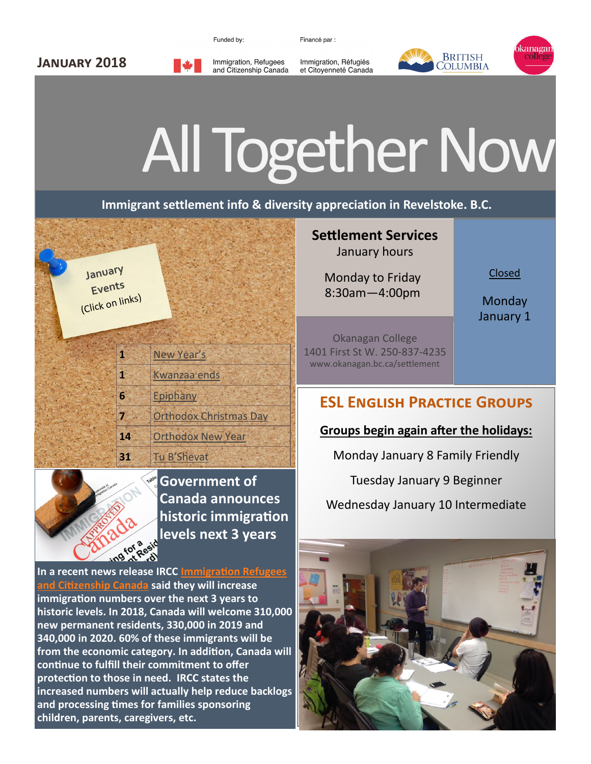Funded by:

Immigration, Refugees

and Citizenship Canada

Financé par :

Immigration, Réfugiés

et Citoyenneté Canada



## All Together Now

**Immigrant settlement info & diversity appreciation in Revelstoke. B.C.**

**January Events** (Click on links)

**January 2018**

| g. | New Year's                    |
|----|-------------------------------|
| Ŧ  | Kwanzaa ends                  |
| 6  | Epiphany                      |
|    | <b>Orthodox Christmas Day</b> |
| 14 | <b>Orthodox New Year</b>      |

**31** [Tu B'Shevat](https://www.timeanddate.com/holidays/canada/tu-bshevat)

**Government of Canada announces historic immigration levels next 3 years**

**In a recent news release IRCC [Immigration Refugees](https://www.canada.ca/en/immigration-refugees-citizenship/news/2017/11/news_release_growingcanadaseconomicfuture.html?_ga=2.121180040.1605120556.1513799432-292621716.1508951925)  [and Citizenship Canada](https://www.canada.ca/en/immigration-refugees-citizenship/news/2017/11/news_release_growingcanadaseconomicfuture.html?_ga=2.121180040.1605120556.1513799432-292621716.1508951925) said they will increase immigration numbers over the next 3 years to historic levels. In 2018, Canada will welcome 310,000 new permanent residents, 330,000 in 2019 and 340,000 in 2020. 60% of these immigrants will be from the economic category. In addition, Canada will continue to fulfill their commitment to offer protection to those in need. IRCC states the increased numbers will actually help reduce backlogs and processing times for families sponsoring children, parents, caregivers, etc.**

## **Settlement Services**  January hours

Monday to Friday 8:30am—4:00pm

Closed

**Monday** January 1

Okanagan College 1401 First St W. 250-837-4235 www.okanagan.bc.ca/settlement

## **ESL English Practice Groups**

## **Groups begin again after the holidays:**

Monday January 8 Family Friendly

Tuesday January 9 Beginner

Wednesday January 10 Intermediate